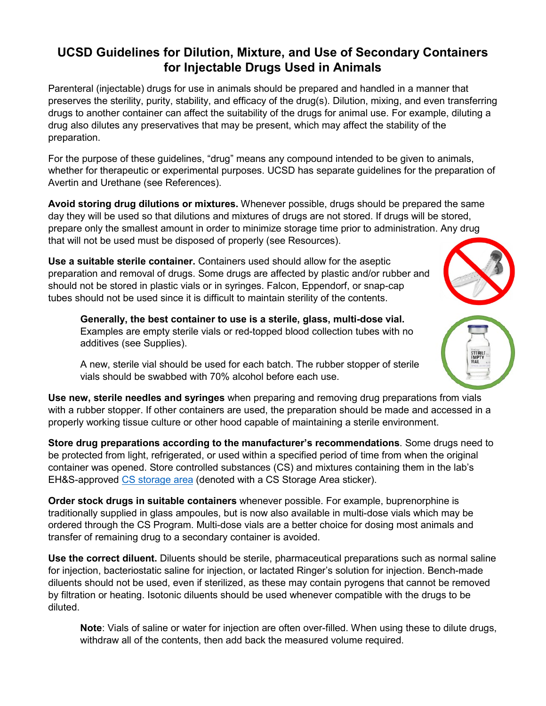## **UCSD Guidelines for Dilution, Mixture, and Use of Secondary Containers for Injectable Drugs Used in Animals**

Parenteral (injectable) drugs for use in animals should be prepared and handled in a manner that preserves the sterility, purity, stability, and efficacy of the drug(s). Dilution, mixing, and even transferring drugs to another container can affect the suitability of the drugs for animal use. For example, diluting a drug also dilutes any preservatives that may be present, which may affect the stability of the preparation.

For the purpose of these guidelines, "drug" means any compound intended to be given to animals, whether for therapeutic or experimental purposes. UCSD has separate guidelines for the preparation of Avertin and Urethane (see References).

**Avoid storing drug dilutions or mixtures.** Whenever possible, drugs should be prepared the same day they will be used so that dilutions and mixtures of drugs are not stored. If drugs will be stored, prepare only the smallest amount in order to minimize storage time prior to administration. Any drug that will not be used must be disposed of properly (see Resources).

**Use a suitable sterile container.** Containers used should allow for the aseptic preparation and removal of drugs. Some drugs are affected by plastic and/or rubber and should not be stored in plastic vials or in syringes. Falcon, Eppendorf, or snap-cap tubes should not be used since it is difficult to maintain sterility of the contents.

**Generally, the best container to use is a sterile, glass, multi-dose vial.** Examples are empty sterile vials or red-topped blood collection tubes with no additives (see Supplies).

A new, sterile vial should be used for each batch. The rubber stopper of sterile vials should be swabbed with 70% alcohol before each use.

**Use new, sterile needles and syringes** when preparing and removing drug preparations from vials with a rubber stopper. If other containers are used, the preparation should be made and accessed in a properly working tissue culture or other hood capable of maintaining a sterile environment.

**Store drug preparations according to the manufacturer's recommendations**. Some drugs need to be protected from light, refrigerated, or used within a specified period of time from when the original container was opened. Store controlled substances (CS) and mixtures containing them in the lab's EH&S-approved [CS storage area](https://blink.ucsd.edu/safety/research-lab/controlled-substances/storage.html) (denoted with a CS Storage Area sticker).

**Order stock drugs in suitable containers** whenever possible. For example, buprenorphine is traditionally supplied in glass ampoules, but is now also available in multi-dose vials which may be ordered through the CS Program. Multi-dose vials are a better choice for dosing most animals and transfer of remaining drug to a secondary container is avoided.

**Use the correct diluent.** Diluents should be sterile, pharmaceutical preparations such as normal saline for injection, bacteriostatic saline for injection, or lactated Ringer's solution for injection. Bench-made diluents should not be used, even if sterilized, as these may contain pyrogens that cannot be removed by filtration or heating. Isotonic diluents should be used whenever compatible with the drugs to be diluted.

**Note**: Vials of saline or water for injection are often over-filled. When using these to dilute drugs, withdraw all of the contents, then add back the measured volume required.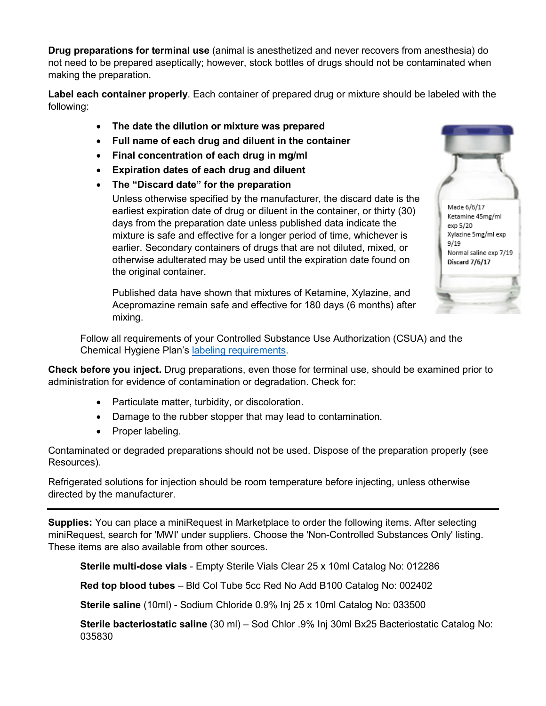**Drug preparations for terminal use** (animal is anesthetized and never recovers from anesthesia) do not need to be prepared aseptically; however, stock bottles of drugs should not be contaminated when making the preparation.

**Label each container properly**. Each container of prepared drug or mixture should be labeled with the following:

- **The date the dilution or mixture was prepared**
- **Full name of each drug and diluent in the container**
- **Final concentration of each drug in mg/ml**
- **Expiration dates of each drug and diluent**
- **The "Discard date" for the preparation**

Unless otherwise specified by the manufacturer, the discard date is the earliest expiration date of drug or diluent in the container, or thirty (30) days from the preparation date unless published data indicate the mixture is safe and effective for a longer period of time, whichever is earlier. Secondary containers of drugs that are not diluted, mixed, or otherwise adulterated may be used until the expiration date found on the original container.

Published data have shown that mixtures of Ketamine, Xylazine, and Acepromazine remain safe and effective for 180 days (6 months) after mixing.

Follow all requirements of your Controlled Substance Use Authorization (CSUA) and the Chemical Hygiene Plan's [labeling requirements.](http://blink.ucsd.edu/safety/research-lab/chemical/storage/index.html#Label-chemical-containers)

**Check before you inject.** Drug preparations, even those for terminal use, should be examined prior to administration for evidence of contamination or degradation. Check for:

- Particulate matter, turbidity, or discoloration.
- Damage to the rubber stopper that may lead to contamination.
- Proper labeling.

Contaminated or degraded preparations should not be used. Dispose of the preparation properly (see Resources).

Refrigerated solutions for injection should be room temperature before injecting, unless otherwise directed by the manufacturer.

**Supplies:** You can place a miniRequest in Marketplace to order the following items. After selecting miniRequest, search for 'MWI' under suppliers. Choose the 'Non-Controlled Substances Only' listing. These items are also available from other sources.

**Sterile multi-dose vials** - Empty Sterile Vials Clear 25 x 10ml Catalog No: 012286

**Red top blood tubes** – Bld Col Tube 5cc Red No Add B100 Catalog No: 002402

**Sterile saline** (10ml) - Sodium Chloride 0.9% Inj 25 x 10ml Catalog No: 033500

**Sterile bacteriostatic saline** (30 ml) – Sod Chlor .9% Inj 30ml Bx25 Bacteriostatic Catalog No: 035830



Normal saline exp 7/19 Discard 7/6/17

 $9/19$